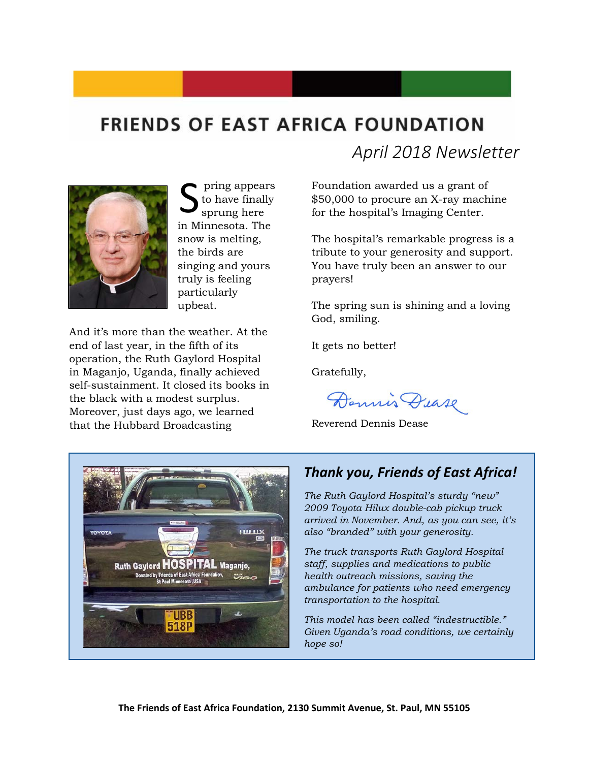# **FRIENDS OF EAST AFRICA FOUNDATION**



pring appears to have finally sprung here in Minnesota. The snow is melting, the birds are singing and yours truly is feeling particularly upbeat. S

And it's more than the weather. At the end of last year, in the fifth of its operation, the Ruth Gaylord Hospital in Maganjo, Uganda, finally achieved self-sustainment. It closed its books in the black with a modest surplus. Moreover, just days ago, we learned that the Hubbard Broadcasting

*April 2018 Newsletter*

Foundation awarded us a grant of \$50,000 to procure an X-ray machine for the hospital's Imaging Center.

The hospital's remarkable progress is a tribute to your generosity and support. You have truly been an answer to our prayers!

The spring sun is shining and a loving God, smiling.

It gets no better!

Gratefully,

Dennis Dease

Reverend Dennis Dease



#### *Thank you, Friends of East Africa!*

*The Ruth Gaylord Hospital's sturdy "new" 2009 Toyota Hilux double-cab pickup truck arrived in November. And, as you can see, it's also "branded" with your generosity.*

*The truck transports Ruth Gaylord Hospital staff, supplies and medications to public health outreach missions, saving the ambulance for patients who need emergency transportation to the hospital.* 

*This model has been called "indestructible." Given Uganda's road conditions, we certainly hope so!*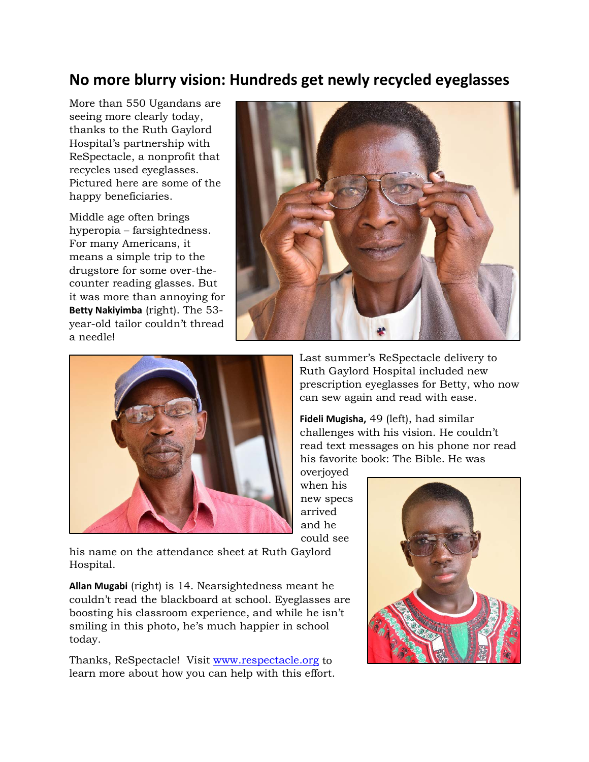#### **No more blurry vision: Hundreds get newly recycled eyeglasses**

More than 550 Ugandans are seeing more clearly today, thanks to the Ruth Gaylord Hospital's partnership with ReSpectacle, a nonprofit that recycles used eyeglasses. Pictured here are some of the happy beneficiaries.

Middle age often brings hyperopia – farsightedness. For many Americans, it means a simple trip to the drugstore for some over-thecounter reading glasses. But it was more than annoying for **Betty Nakiyimba** (right). The 53 year-old tailor couldn't thread a needle!





Last summer's ReSpectacle delivery to Ruth Gaylord Hospital included new prescription eyeglasses for Betty, who now can sew again and read with ease.

**Fideli Mugisha,** 49 (left), had similar challenges with his vision. He couldn't read text messages on his phone nor read his favorite book: The Bible. He was overjoyed

when his new specs arrived and he could see

his name on the attendance sheet at Ruth Gaylord Hospital.

**Allan Mugabi** (right) is 14. Nearsightedness meant he couldn't read the blackboard at school. Eyeglasses are boosting his classroom experience, and while he isn't smiling in this photo, he's much happier in school today.

Thanks, ReSpectacle! Visit [www.respectacle.org](http://www.respectacle.org/) to learn more about how you can help with this effort.

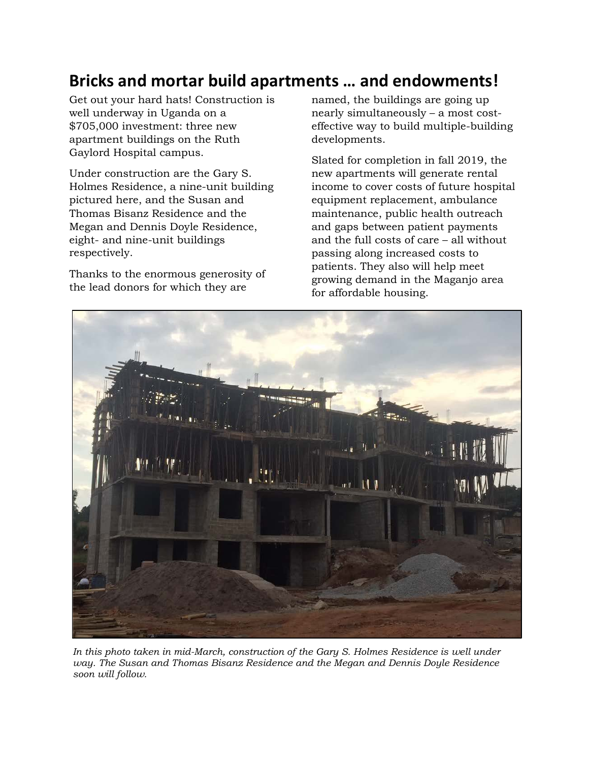## **Bricks and mortar build apartments … and endowments!**

Get out your hard hats! Construction is well underway in Uganda on a \$705,000 investment: three new apartment buildings on the Ruth Gaylord Hospital campus.

Under construction are the Gary S. Holmes Residence, a nine-unit building pictured here, and the Susan and Thomas Bisanz Residence and the Megan and Dennis Doyle Residence, eight- and nine-unit buildings respectively.

Thanks to the enormous generosity of the lead donors for which they are

named, the buildings are going up nearly simultaneously – a most costeffective way to build multiple-building developments.

Slated for completion in fall 2019, the new apartments will generate rental income to cover costs of future hospital equipment replacement, ambulance maintenance, public health outreach and gaps between patient payments and the full costs of care – all without passing along increased costs to patients. They also will help meet growing demand in the Maganjo area for affordable housing.



*In this photo taken in mid-March, construction of the Gary S. Holmes Residence is well under way. The Susan and Thomas Bisanz Residence and the Megan and Dennis Doyle Residence soon will follow.*